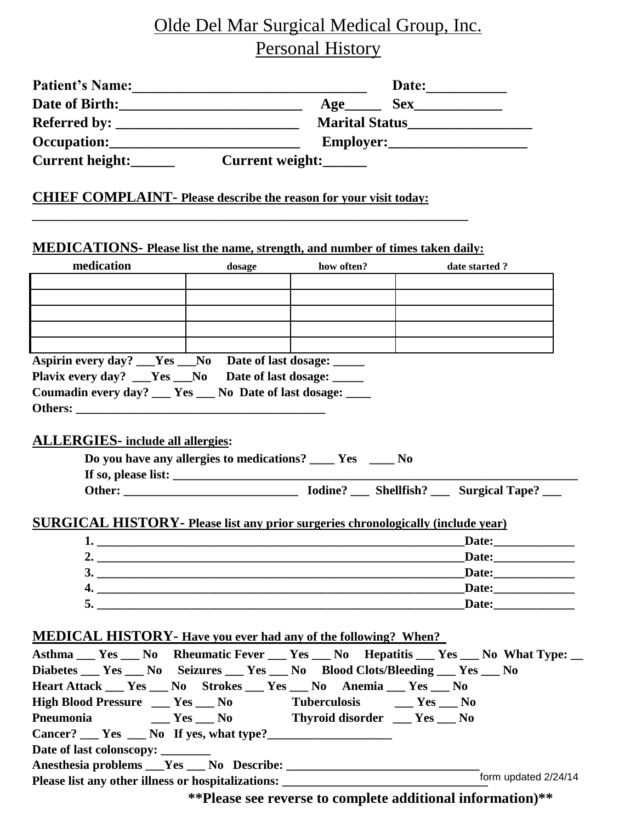## Olde Del Mar Surgical Medical Group, Inc. Personal History

| Patient's Name: Date:                                                                                                                           |        |            |                                                                                      |  |  |  |
|-------------------------------------------------------------------------------------------------------------------------------------------------|--------|------------|--------------------------------------------------------------------------------------|--|--|--|
|                                                                                                                                                 |        |            |                                                                                      |  |  |  |
|                                                                                                                                                 |        |            | Marital Status___________________                                                    |  |  |  |
|                                                                                                                                                 |        |            |                                                                                      |  |  |  |
|                                                                                                                                                 |        |            |                                                                                      |  |  |  |
| Current height: Current weight:                                                                                                                 |        |            |                                                                                      |  |  |  |
| <b>CHIEF COMPLAINT-</b> Please describe the reason for your visit today:                                                                        |        |            |                                                                                      |  |  |  |
| MEDICATIONS- Please list the name, strength, and number of times taken daily:                                                                   |        |            |                                                                                      |  |  |  |
| medication                                                                                                                                      | dosage | how often? | date started ?                                                                       |  |  |  |
|                                                                                                                                                 |        |            |                                                                                      |  |  |  |
|                                                                                                                                                 |        |            |                                                                                      |  |  |  |
|                                                                                                                                                 |        |            |                                                                                      |  |  |  |
|                                                                                                                                                 |        |            |                                                                                      |  |  |  |
|                                                                                                                                                 |        |            |                                                                                      |  |  |  |
| Aspirin every day? __Yes __No Date of last dosage: ____                                                                                         |        |            |                                                                                      |  |  |  |
| Plavix every day? ___Yes ___No Date of last dosage: _____                                                                                       |        |            |                                                                                      |  |  |  |
| Coumadin every day? __ Yes __ No Date of last dosage: ___                                                                                       |        |            |                                                                                      |  |  |  |
|                                                                                                                                                 |        |            |                                                                                      |  |  |  |
|                                                                                                                                                 |        |            |                                                                                      |  |  |  |
| <b>ALLERGIES-</b> include all allergies:                                                                                                        |        |            |                                                                                      |  |  |  |
| Do you have any allergies to medications? ______ Yes ______ No                                                                                  |        |            |                                                                                      |  |  |  |
|                                                                                                                                                 |        |            |                                                                                      |  |  |  |
|                                                                                                                                                 |        |            |                                                                                      |  |  |  |
|                                                                                                                                                 |        |            |                                                                                      |  |  |  |
| <b>SURGICAL HISTORY-</b> Please list any prior surgeries chronologically (include year)                                                         |        |            |                                                                                      |  |  |  |
| $1.$ $\overline{\phantom{a}}$                                                                                                                   |        |            |                                                                                      |  |  |  |
| 2. $\overline{\phantom{a}}$                                                                                                                     |        |            |                                                                                      |  |  |  |
| 3.                                                                                                                                              |        |            |                                                                                      |  |  |  |
|                                                                                                                                                 |        |            |                                                                                      |  |  |  |
|                                                                                                                                                 |        |            |                                                                                      |  |  |  |
|                                                                                                                                                 |        |            |                                                                                      |  |  |  |
| <b>MEDICAL HISTORY-</b> Have you ever had any of the following? When?                                                                           |        |            |                                                                                      |  |  |  |
|                                                                                                                                                 |        |            | Asthma __ Yes __ No Rheumatic Fever __ Yes __ No Hepatitis __ Yes __ No What Type: _ |  |  |  |
|                                                                                                                                                 |        |            |                                                                                      |  |  |  |
| Diabetes Yes No Seizures Yes No Blood Clots/Bleeding Yes No<br>Heart Attack __ Yes __ No Strokes __ Yes __ No Anemia __ Yes __ No               |        |            |                                                                                      |  |  |  |
| High Blood Pressure ___ Yes ___ No Tuberculosis ___ Yes ___ No                                                                                  |        |            |                                                                                      |  |  |  |
| Pneumonia<br>___ Yes ___ No Thyroid disorder ___ Yes ___ No                                                                                     |        |            |                                                                                      |  |  |  |
| $Cancer?$ $Yes$ $No$ If yes, what type?                                                                                                         |        |            |                                                                                      |  |  |  |
| Date of last colonscopy: ________                                                                                                               |        |            |                                                                                      |  |  |  |
|                                                                                                                                                 |        |            |                                                                                      |  |  |  |
|                                                                                                                                                 |        |            | form updated 2/24/14                                                                 |  |  |  |
| Please list any other illness or hospitalizations: ______________________________<br>**Plasse see reverse to complete additional information)** |        |            |                                                                                      |  |  |  |

**\*\*Please see reverse to complete additional information)\*\***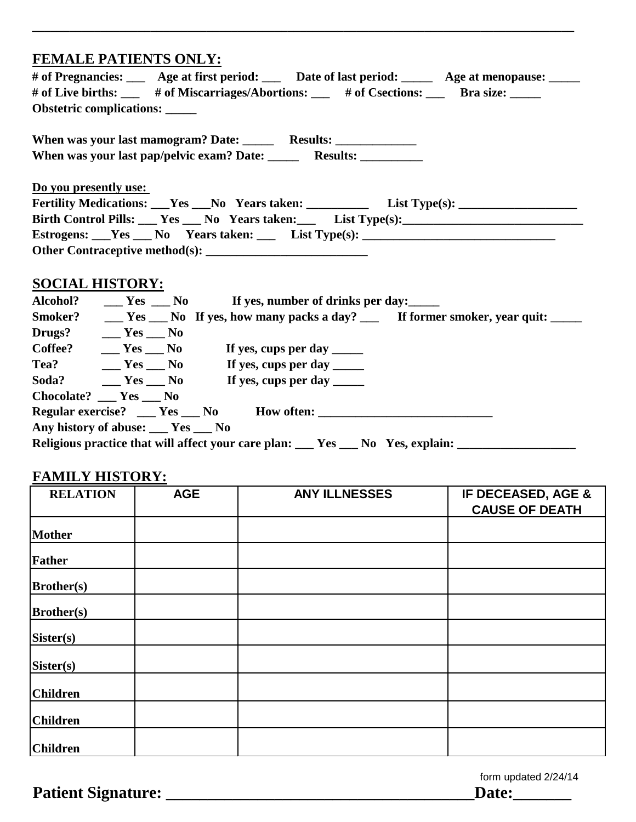## **FEMALE PATIENTS ONLY:**

| # of Pregnancies: ___ Age at first period: ___ Date of last period: ____ Age at menopause: ____ |  |  |  |  |  |  |  |
|-------------------------------------------------------------------------------------------------|--|--|--|--|--|--|--|
| # of Live births: ___ # of Miscarriages/Abortions: __ # of Csections: __ Bra size: ____         |  |  |  |  |  |  |  |
| Obstetric complications: _____                                                                  |  |  |  |  |  |  |  |
|                                                                                                 |  |  |  |  |  |  |  |
|                                                                                                 |  |  |  |  |  |  |  |
|                                                                                                 |  |  |  |  |  |  |  |
|                                                                                                 |  |  |  |  |  |  |  |
| Do you presently use:                                                                           |  |  |  |  |  |  |  |
|                                                                                                 |  |  |  |  |  |  |  |
| Birth Control Pills: Yes No Years taken: List Type(s):                                          |  |  |  |  |  |  |  |
|                                                                                                 |  |  |  |  |  |  |  |
|                                                                                                 |  |  |  |  |  |  |  |
|                                                                                                 |  |  |  |  |  |  |  |
| COCIAL HICTODY.                                                                                 |  |  |  |  |  |  |  |

**\_\_\_\_\_\_\_\_\_\_\_\_\_\_\_\_\_\_\_\_\_\_\_\_\_\_\_\_\_\_\_\_\_\_\_\_\_\_\_\_\_\_\_\_\_\_\_\_\_\_\_\_\_\_\_\_\_\_\_\_\_\_\_\_\_\_\_\_\_\_\_\_\_\_\_\_\_\_\_\_\_\_\_\_\_\_\_**

| <b>SOCIAL HISTORY:</b> |  |  |  |  |
|------------------------|--|--|--|--|
| Alcahal?               |  |  |  |  |

| Alcohol?                                                                          |                            |  | $\frac{1}{2}$ Yes $\frac{1}{2}$ No If yes, number of drinks per day:                                                                                                                                                                                                                                                                                                                                           |  |  |
|-----------------------------------------------------------------------------------|----------------------------|--|----------------------------------------------------------------------------------------------------------------------------------------------------------------------------------------------------------------------------------------------------------------------------------------------------------------------------------------------------------------------------------------------------------------|--|--|
| Smoker?                                                                           |                            |  |                                                                                                                                                                                                                                                                                                                                                                                                                |  |  |
| Drugs?                                                                            | $Yes$ No                   |  |                                                                                                                                                                                                                                                                                                                                                                                                                |  |  |
| Coffee?                                                                           | $\_\_\_\$ Yes $\_\_\_\$ No |  | If yes, cups per day $\frac{1}{\sqrt{2}}$                                                                                                                                                                                                                                                                                                                                                                      |  |  |
| Tea? Mes No                                                                       |                            |  | If yes, cups per day $\frac{1}{\sqrt{1-\frac{1}{\sqrt{1-\frac{1}{\sqrt{1-\frac{1}{\sqrt{1-\frac{1}{\sqrt{1-\frac{1}{\sqrt{1-\frac{1}{\sqrt{1-\frac{1}{\sqrt{1-\frac{1}{\sqrt{1-\frac{1}{\sqrt{1-\frac{1}{\sqrt{1-\frac{1}{\sqrt{1-\frac{1}{\sqrt{1-\frac{1}{\sqrt{1-\frac{1}{\sqrt{1-\frac{1}{\sqrt{1-\frac{1}{\sqrt{1-\frac{1}{\sqrt{1-\frac{1}{\sqrt{1-\frac{1}{\sqrt{1-\frac{1}{\sqrt{1-\frac{1}{\sqrt{1-\$ |  |  |
| Soda? Mes No                                                                      |                            |  | If yes, cups per day _____                                                                                                                                                                                                                                                                                                                                                                                     |  |  |
| $Chocolate?$ $Yes$ $\_\_$ No                                                      |                            |  |                                                                                                                                                                                                                                                                                                                                                                                                                |  |  |
|                                                                                   |                            |  |                                                                                                                                                                                                                                                                                                                                                                                                                |  |  |
| Any history of abuse: ___ Yes ___ No                                              |                            |  |                                                                                                                                                                                                                                                                                                                                                                                                                |  |  |
| Religious practice that will affect your care plan: __ Yes __ No Yes, explain: __ |                            |  |                                                                                                                                                                                                                                                                                                                                                                                                                |  |  |

## **FAMILY HISTORY:**

|                   | $-22 - 32$ |                      |                                             |
|-------------------|------------|----------------------|---------------------------------------------|
| <b>RELATION</b>   | <b>AGE</b> | <b>ANY ILLNESSES</b> | IF DECEASED, AGE &<br><b>CAUSE OF DEATH</b> |
| Mother            |            |                      |                                             |
| Father            |            |                      |                                             |
| <b>Brother(s)</b> |            |                      |                                             |
| <b>Brother(s)</b> |            |                      |                                             |
| Sister(s)         |            |                      |                                             |
| Sister(s)         |            |                      |                                             |
| <b>Children</b>   |            |                      |                                             |
| <b>Children</b>   |            |                      |                                             |
| <b>Children</b>   |            |                      |                                             |

form updated 2/24/14

**Patient Signature: \_\_\_\_\_\_\_\_\_\_\_\_\_\_\_\_\_\_\_\_\_\_\_\_\_\_\_\_\_\_\_\_\_\_\_\_\_Date:\_\_\_\_\_\_\_**